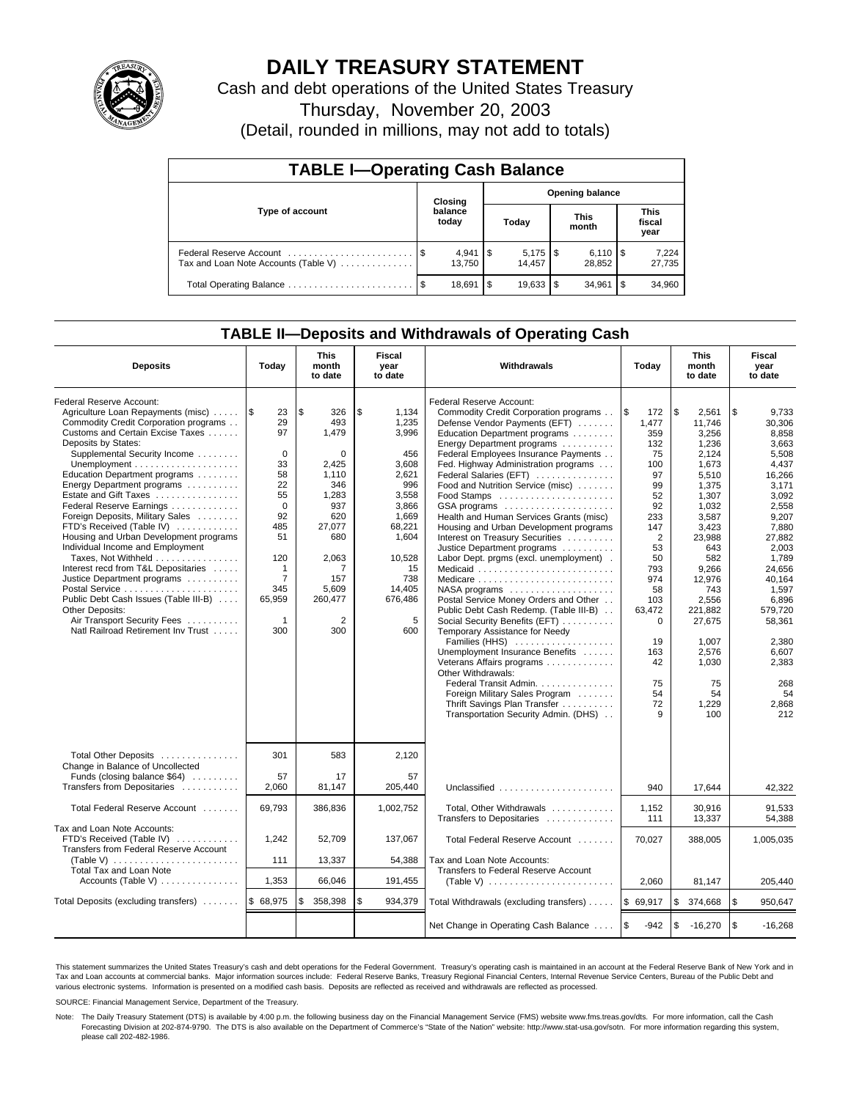

# **DAILY TREASURY STATEMENT**

Cash and debt operations of the United States Treasury

Thursday, November 20, 2003

(Detail, rounded in millions, may not add to totals)

| <b>TABLE I-Operating Cash Balance</b> |  |                       |      |                        |  |                              |      |                               |  |  |
|---------------------------------------|--|-----------------------|------|------------------------|--|------------------------------|------|-------------------------------|--|--|
| Type of account                       |  | Closing               |      |                        |  | <b>Opening balance</b>       |      |                               |  |  |
|                                       |  | balance<br>today      |      | Today                  |  | <b>This</b><br>month         |      | <b>This</b><br>fiscal<br>year |  |  |
| Tax and Loan Note Accounts (Table V)  |  | $4,941$ \\$<br>13.750 |      | $5,175$ \\$<br>14.457  |  | $6,110$ $\sqrt{5}$<br>28.852 |      | 7,224<br>27,735               |  |  |
|                                       |  | 18,691                | l \$ | $19.633$ $\frac{1}{3}$ |  | 34.961                       | l \$ | 34,960                        |  |  |

# **TABLE II—Deposits and Withdrawals of Operating Cash**

| <b>Deposits</b>                                                                                                                                                                                                                                                                                                                                                                                                                                                                                                                                                                                                                                                                                     | Today                                                                                                                                                            | <b>This</b><br>month<br>to date                                                                                                                                   | <b>Fiscal</b><br>year<br>to date                                                                                                                                    | Withdrawals                                                                                                                                                                                                                                                                                                                                                                                                                                                                                                                                                                                                                                                                                                                                                                                                                                                                                                                                                        | Today                                                                                                                                                                                                             | <b>This</b><br>month<br>to date                                                                                                                                                                                                                        | Fiscal<br>year<br>to date                                                                                                                                                                                                                                       |
|-----------------------------------------------------------------------------------------------------------------------------------------------------------------------------------------------------------------------------------------------------------------------------------------------------------------------------------------------------------------------------------------------------------------------------------------------------------------------------------------------------------------------------------------------------------------------------------------------------------------------------------------------------------------------------------------------------|------------------------------------------------------------------------------------------------------------------------------------------------------------------|-------------------------------------------------------------------------------------------------------------------------------------------------------------------|---------------------------------------------------------------------------------------------------------------------------------------------------------------------|--------------------------------------------------------------------------------------------------------------------------------------------------------------------------------------------------------------------------------------------------------------------------------------------------------------------------------------------------------------------------------------------------------------------------------------------------------------------------------------------------------------------------------------------------------------------------------------------------------------------------------------------------------------------------------------------------------------------------------------------------------------------------------------------------------------------------------------------------------------------------------------------------------------------------------------------------------------------|-------------------------------------------------------------------------------------------------------------------------------------------------------------------------------------------------------------------|--------------------------------------------------------------------------------------------------------------------------------------------------------------------------------------------------------------------------------------------------------|-----------------------------------------------------------------------------------------------------------------------------------------------------------------------------------------------------------------------------------------------------------------|
| Federal Reserve Account:<br>Agriculture Loan Repayments (misc)<br>Commodity Credit Corporation programs<br>Customs and Certain Excise Taxes<br>Deposits by States:<br>Supplemental Security Income<br>Education Department programs<br>Energy Department programs<br>Estate and Gift Taxes<br>Federal Reserve Earnings<br>Foreign Deposits, Military Sales<br>FTD's Received (Table IV)<br>Housing and Urban Development programs<br>Individual Income and Employment<br>Taxes, Not Withheld<br>Interest recd from T&L Depositaries<br>Justice Department programs<br>Public Debt Cash Issues (Table III-B)<br>Other Deposits:<br>Air Transport Security Fees<br>Natl Railroad Retirement Inv Trust | 1\$<br>23<br>29<br>97<br>$\mathbf 0$<br>33<br>58<br>22<br>55<br>$\Omega$<br>92<br>485<br>51<br>120<br>1<br>$\overline{7}$<br>345<br>65,959<br>$\mathbf 1$<br>300 | \$<br>326<br>493<br>1,479<br>0<br>2,425<br>1,110<br>346<br>1,283<br>937<br>620<br>27,077<br>680<br>2,063<br>7<br>157<br>5,609<br>260,477<br>$\overline{2}$<br>300 | \$<br>1,134<br>1,235<br>3,996<br>456<br>3,608<br>2,621<br>996<br>3.558<br>3,866<br>1,669<br>68,221<br>1,604<br>10,528<br>15<br>738<br>14,405<br>676,486<br>5<br>600 | Federal Reserve Account:<br>Commodity Credit Corporation programs<br>Defense Vendor Payments (EFT)<br>Education Department programs<br>Energy Department programs<br>Federal Employees Insurance Payments<br>Fed. Highway Administration programs<br>Federal Salaries (EFT)<br>Food and Nutrition Service (misc)<br>GSA programs<br>Health and Human Services Grants (misc)<br>Housing and Urban Development programs<br>Interest on Treasury Securities<br>Justice Department programs<br>Labor Dept. prgms (excl. unemployment).<br>Medicaid<br>NASA programs<br>Postal Service Money Orders and Other<br>Public Debt Cash Redemp. (Table III-B)<br>Social Security Benefits (EFT)<br>Temporary Assistance for Needy<br>Families (HHS)<br>Unemployment Insurance Benefits<br>Veterans Affairs programs<br>Other Withdrawals:<br>Federal Transit Admin.<br>Foreign Military Sales Program<br>Thrift Savings Plan Transfer<br>Transportation Security Admin. (DHS) | l \$<br>172<br>1,477<br>359<br>132<br>75<br>100<br>97<br>99<br>52<br>92<br>233<br>147<br>$\overline{2}$<br>53<br>50<br>793<br>974<br>58<br>103<br>63,472<br>$\mathbf 0$<br>19<br>163<br>42<br>75<br>54<br>72<br>9 | \$<br>2.561<br>11.746<br>3,256<br>1,236<br>2,124<br>1,673<br>5,510<br>1.375<br>1.307<br>1,032<br>3,587<br>3,423<br>23,988<br>643<br>582<br>9,266<br>12,976<br>743<br>2,556<br>221,882<br>27,675<br>1,007<br>2,576<br>1,030<br>75<br>54<br>1,229<br>100 | \$<br>9.733<br>30.306<br>8,858<br>3,663<br>5,508<br>4,437<br>16.266<br>3.171<br>3.092<br>2,558<br>9,207<br>7,880<br>27,882<br>2,003<br>1.789<br>24.656<br>40,164<br>1,597<br>6,896<br>579.720<br>58,361<br>2,380<br>6,607<br>2,383<br>268<br>54<br>2,868<br>212 |
| Total Other Deposits<br>Change in Balance of Uncollected<br>Funds (closing balance \$64)<br>Transfers from Depositaries                                                                                                                                                                                                                                                                                                                                                                                                                                                                                                                                                                             | 301<br>57<br>2,060                                                                                                                                               | 583<br>17<br>81,147                                                                                                                                               | 2,120<br>57<br>205,440                                                                                                                                              | Unclassified                                                                                                                                                                                                                                                                                                                                                                                                                                                                                                                                                                                                                                                                                                                                                                                                                                                                                                                                                       | 940                                                                                                                                                                                                               | 17,644                                                                                                                                                                                                                                                 | 42,322                                                                                                                                                                                                                                                          |
| Total Federal Reserve Account                                                                                                                                                                                                                                                                                                                                                                                                                                                                                                                                                                                                                                                                       | 69.793                                                                                                                                                           | 386,836                                                                                                                                                           | 1,002,752                                                                                                                                                           | Total, Other Withdrawals<br>Transfers to Depositaries                                                                                                                                                                                                                                                                                                                                                                                                                                                                                                                                                                                                                                                                                                                                                                                                                                                                                                              | 1,152<br>111                                                                                                                                                                                                      | 30,916<br>13,337                                                                                                                                                                                                                                       | 91.533<br>54.388                                                                                                                                                                                                                                                |
| Tax and Loan Note Accounts:<br>FTD's Received (Table IV)<br>Transfers from Federal Reserve Account<br>(Table V) $\ldots \ldots \ldots \ldots \ldots \ldots \ldots$<br>Total Tax and Loan Note                                                                                                                                                                                                                                                                                                                                                                                                                                                                                                       | 1,242<br>111                                                                                                                                                     | 52,709<br>13,337                                                                                                                                                  | 137,067<br>54,388                                                                                                                                                   | Total Federal Reserve Account<br>Tax and Loan Note Accounts:<br>Transfers to Federal Reserve Account                                                                                                                                                                                                                                                                                                                                                                                                                                                                                                                                                                                                                                                                                                                                                                                                                                                               | 70,027                                                                                                                                                                                                            | 388,005                                                                                                                                                                                                                                                | 1,005,035                                                                                                                                                                                                                                                       |
| Accounts (Table V)                                                                                                                                                                                                                                                                                                                                                                                                                                                                                                                                                                                                                                                                                  | 1,353                                                                                                                                                            | 66,046                                                                                                                                                            | 191,455                                                                                                                                                             |                                                                                                                                                                                                                                                                                                                                                                                                                                                                                                                                                                                                                                                                                                                                                                                                                                                                                                                                                                    | 2.060                                                                                                                                                                                                             | 81,147                                                                                                                                                                                                                                                 | 205.440                                                                                                                                                                                                                                                         |
| Total Deposits (excluding transfers)                                                                                                                                                                                                                                                                                                                                                                                                                                                                                                                                                                                                                                                                | \$ 68,975                                                                                                                                                        | 358,398<br>\$                                                                                                                                                     | \$<br>934,379                                                                                                                                                       | Total Withdrawals (excluding transfers)                                                                                                                                                                                                                                                                                                                                                                                                                                                                                                                                                                                                                                                                                                                                                                                                                                                                                                                            | \$69,917                                                                                                                                                                                                          | \$<br>374,668                                                                                                                                                                                                                                          | \$<br>950,647                                                                                                                                                                                                                                                   |
|                                                                                                                                                                                                                                                                                                                                                                                                                                                                                                                                                                                                                                                                                                     |                                                                                                                                                                  |                                                                                                                                                                   |                                                                                                                                                                     | Net Change in Operating Cash Balance                                                                                                                                                                                                                                                                                                                                                                                                                                                                                                                                                                                                                                                                                                                                                                                                                                                                                                                               | l \$<br>$-942$                                                                                                                                                                                                    | \$<br>$-16,270$                                                                                                                                                                                                                                        | l \$<br>$-16,268$                                                                                                                                                                                                                                               |

This statement summarizes the United States Treasury's cash and debt operations for the Federal Government. Treasury's operating cash is maintained in an account at the Federal Reserve Bank of New York and in Tax and Loan accounts at commercial banks. Major information sources include: Federal Reserve Banks, Treasury Regional Financial Centers, Internal Revenue Service Centers, Bureau of the Public Debt and<br>various electronic s

SOURCE: Financial Management Service, Department of the Treasury.

Note: The Daily Treasury Statement (DTS) is available by 4:00 p.m. the following business day on the Financial Management Service (FMS) website www.fms.treas.gov/dts. For more information, call the Cash Forecasting Division at 202-874-9790. The DTS is also available on the Department of Commerce's "State of the Nation" website: http://www.stat-usa.gov/sotn. For more information regarding this system, please call 202-482-1986.